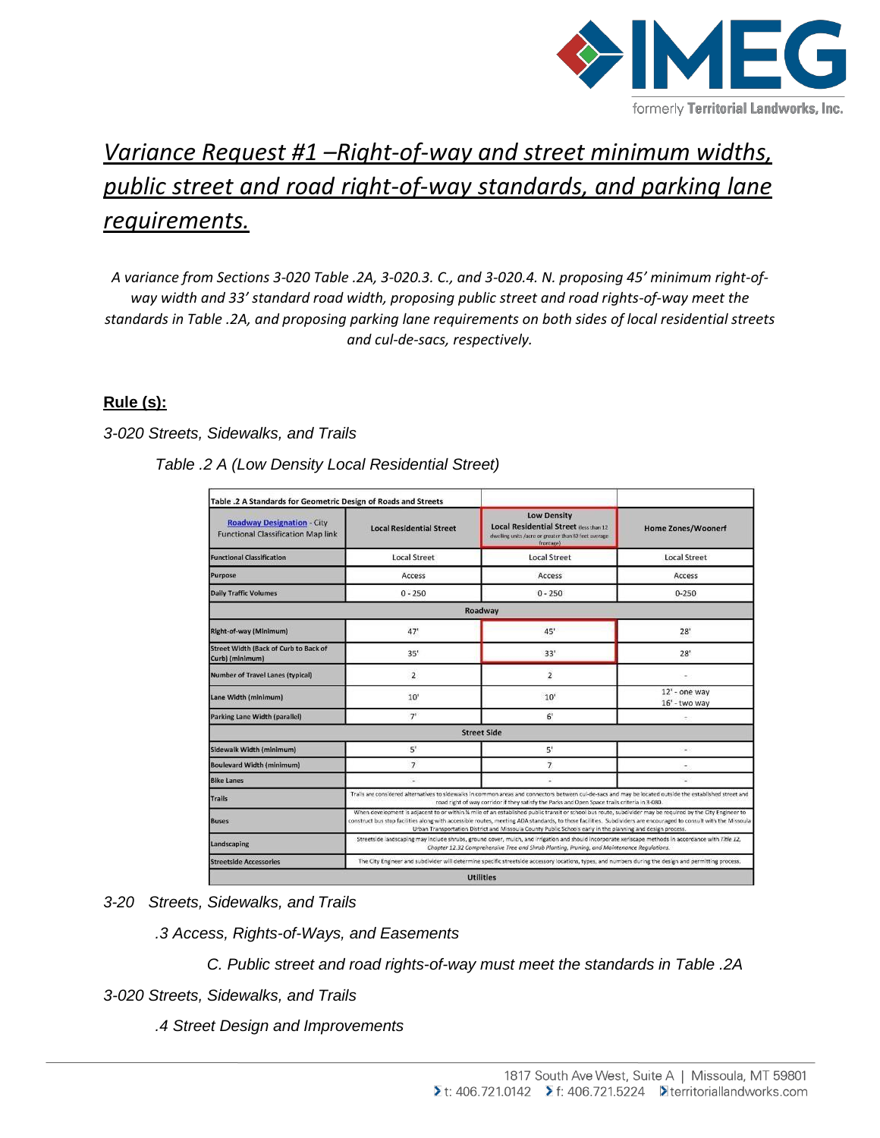

# *Variance Request #1 –Right-of-way and street minimum widths, public street and road right-of-way standards, and parking lane requirements.*

*A variance from Sections 3-020 Table .2A, 3-020.3. C., and 3-020.4. N. proposing 45' minimum right-ofway width and 33' standard road width, proposing public street and road rights-of-way meet the standards in Table .2A, and proposing parking lane requirements on both sides of local residential streets and cul-de-sacs, respectively.*

# **Rule (s):**

## *3-020 Streets, Sidewalks, and Trails*

| <b>Roadway Designation - City</b><br><b>Functional Classification Map link</b> | <b>Local Residential Street</b>                                                                                                                                                                                                                                                                                                                                                                                                            | <b>Low Density</b><br><b>Local Residential Street dess than 12</b><br>dwelling units /acre or greater than 80 feet average<br>frontage) | <b>Home Zones/Woonerf</b>      |  |
|--------------------------------------------------------------------------------|--------------------------------------------------------------------------------------------------------------------------------------------------------------------------------------------------------------------------------------------------------------------------------------------------------------------------------------------------------------------------------------------------------------------------------------------|-----------------------------------------------------------------------------------------------------------------------------------------|--------------------------------|--|
| <b>Functional Classification</b>                                               | <b>Local Street</b>                                                                                                                                                                                                                                                                                                                                                                                                                        | <b>Local Street</b>                                                                                                                     | <b>Local Street</b>            |  |
| Purpose                                                                        | Access                                                                                                                                                                                                                                                                                                                                                                                                                                     | Access                                                                                                                                  | Access                         |  |
| <b>Daily Traffic Volumes</b>                                                   | $0 - 250$                                                                                                                                                                                                                                                                                                                                                                                                                                  | $0 - 250$                                                                                                                               | $0 - 250$                      |  |
|                                                                                |                                                                                                                                                                                                                                                                                                                                                                                                                                            | Roadway                                                                                                                                 |                                |  |
| Right-of-way (Minimum)                                                         | 47'                                                                                                                                                                                                                                                                                                                                                                                                                                        | 45'                                                                                                                                     | 28'                            |  |
| Street Width (Back of Curb to Back of<br>Curb) (minimum)                       | 35'                                                                                                                                                                                                                                                                                                                                                                                                                                        | 33'                                                                                                                                     | 28'                            |  |
| Number of Travel Lanes (typical)                                               | $\overline{2}$                                                                                                                                                                                                                                                                                                                                                                                                                             | $\overline{\mathbf{2}}$                                                                                                                 |                                |  |
| Lane Width (minimum)                                                           | 10'                                                                                                                                                                                                                                                                                                                                                                                                                                        | 10'                                                                                                                                     | 12' - one way<br>16' - two way |  |
| Parking Lane Width (parallel)                                                  | 7 <sup>1</sup>                                                                                                                                                                                                                                                                                                                                                                                                                             | $6^{\circ}$                                                                                                                             |                                |  |
|                                                                                |                                                                                                                                                                                                                                                                                                                                                                                                                                            | <b>Street Side</b>                                                                                                                      |                                |  |
| Sidewalk Width (minimum)                                                       | $5^r$                                                                                                                                                                                                                                                                                                                                                                                                                                      | 5'                                                                                                                                      | $\frac{1}{2}$                  |  |
| <b>Boulevard Width (minimum)</b>                                               | $\overline{7}$                                                                                                                                                                                                                                                                                                                                                                                                                             | $\overline{7}$                                                                                                                          |                                |  |
| <b>Bike Lanes</b>                                                              | s.                                                                                                                                                                                                                                                                                                                                                                                                                                         |                                                                                                                                         |                                |  |
| <b>Trails</b>                                                                  | Trails are considered alternatives to sidewalks in common areas and connectors between cul-de-sacs and may be located outside the established street and<br>road right of way corridor if they satisfy the Parks and Open Space trails criteria in 3-080.                                                                                                                                                                                  |                                                                                                                                         |                                |  |
| <b>Buses</b>                                                                   | When development is adjacent to or within % mile of an established public transit or school bus route, subdivider may be required by the City Engineer to<br>construct bus stop facilities along with accessible routes, meeting ADA standards, to those facilities. Subdividers are encouraged to consult with the Missoula<br>Urban Transportation District and Missoula County Public Schools early in the planning and design process. |                                                                                                                                         |                                |  |
| Landscaping                                                                    | Streetside landscaping may include shrubs, ground cover, muich, and irrigation and should incorporate xeriscape methods in accordance with Title 12,<br>Chapter 12.32 Comprehensive Tree and Shrub Planting, Pruning, and Maintenance Regulations.                                                                                                                                                                                         |                                                                                                                                         |                                |  |
| <b>Streetside Accessories</b>                                                  | The City Engineer and subdivider will determine specific streetside accessory locations, types, and numbers during the design and permitting process.                                                                                                                                                                                                                                                                                      |                                                                                                                                         |                                |  |

*3-20 Streets, Sidewalks, and Trails*

*.3 Access, Rights-of-Ways, and Easements*

*C. Public street and road rights-of-way must meet the standards in Table .2A* 

*3-020 Streets, Sidewalks, and Trails*

*.4 Street Design and Improvements*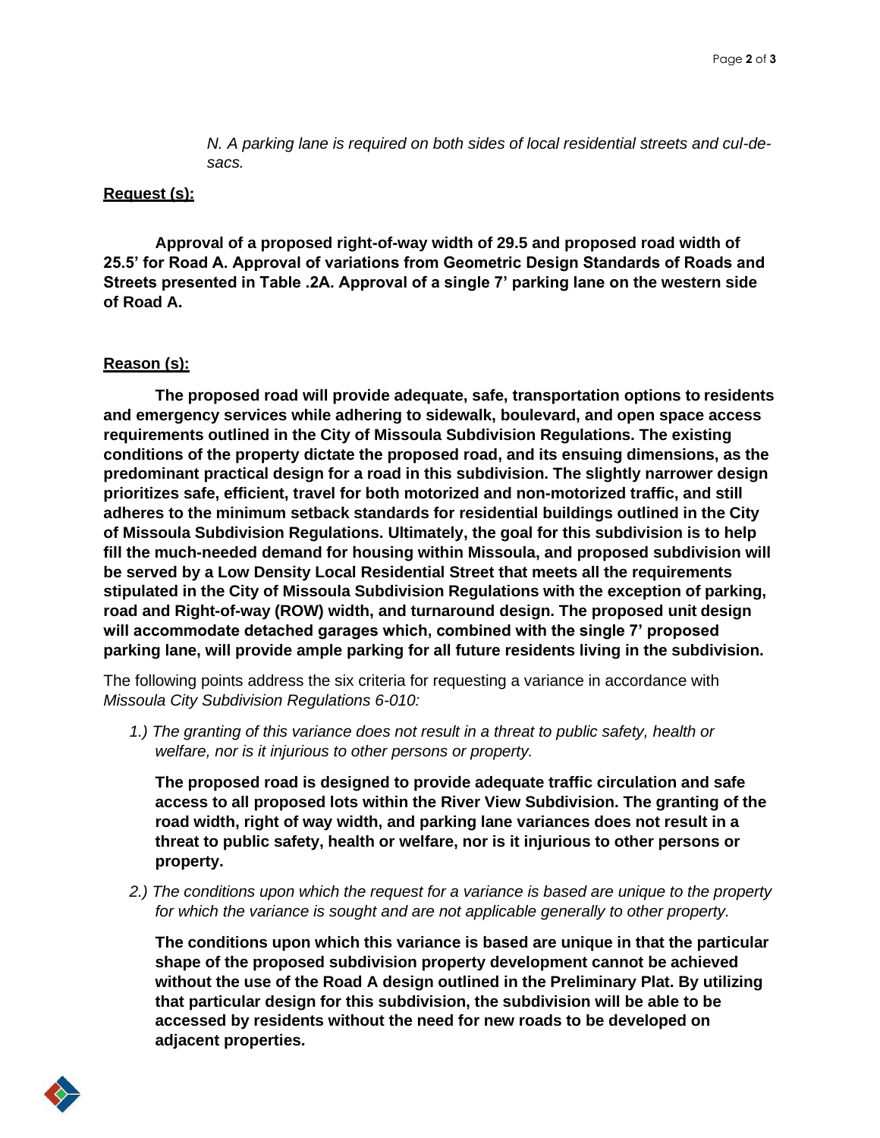*N. A parking lane is required on both sides of local residential streets and cul-desacs.*

#### **Request (s):**

**Approval of a proposed right-of-way width of 29.5 and proposed road width of 25.5' for Road A. Approval of variations from Geometric Design Standards of Roads and Streets presented in Table .2A. Approval of a single 7' parking lane on the western side of Road A.**

### **Reason (s):**

**The proposed road will provide adequate, safe, transportation options to residents and emergency services while adhering to sidewalk, boulevard, and open space access requirements outlined in the City of Missoula Subdivision Regulations. The existing conditions of the property dictate the proposed road, and its ensuing dimensions, as the predominant practical design for a road in this subdivision. The slightly narrower design prioritizes safe, efficient, travel for both motorized and non-motorized traffic, and still adheres to the minimum setback standards for residential buildings outlined in the City of Missoula Subdivision Regulations. Ultimately, the goal for this subdivision is to help fill the much-needed demand for housing within Missoula, and proposed subdivision will be served by a Low Density Local Residential Street that meets all the requirements stipulated in the City of Missoula Subdivision Regulations with the exception of parking, road and Right-of-way (ROW) width, and turnaround design. The proposed unit design will accommodate detached garages which, combined with the single 7' proposed parking lane, will provide ample parking for all future residents living in the subdivision.**

The following points address the six criteria for requesting a variance in accordance with *Missoula City Subdivision Regulations 6-010:*

*1.) The granting of this variance does not result in a threat to public safety, health or welfare, nor is it injurious to other persons or property.*

**The proposed road is designed to provide adequate traffic circulation and safe access to all proposed lots within the River View Subdivision. The granting of the road width, right of way width, and parking lane variances does not result in a threat to public safety, health or welfare, nor is it injurious to other persons or property.**

*2.) The conditions upon which the request for a variance is based are unique to the property for which the variance is sought and are not applicable generally to other property.*

**The conditions upon which this variance is based are unique in that the particular shape of the proposed subdivision property development cannot be achieved without the use of the Road A design outlined in the Preliminary Plat. By utilizing that particular design for this subdivision, the subdivision will be able to be accessed by residents without the need for new roads to be developed on adjacent properties.**

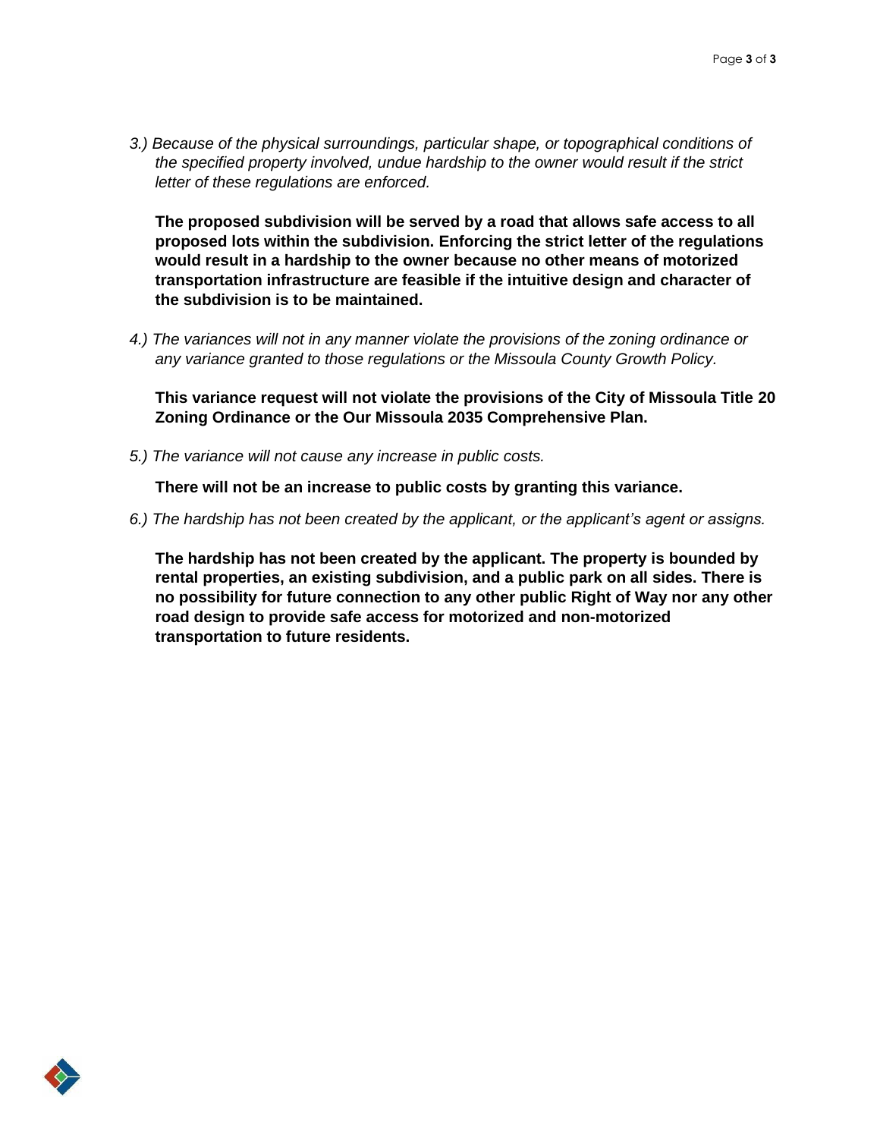*3.) Because of the physical surroundings, particular shape, or topographical conditions of the specified property involved, undue hardship to the owner would result if the strict letter of these regulations are enforced.*

**The proposed subdivision will be served by a road that allows safe access to all proposed lots within the subdivision. Enforcing the strict letter of the regulations would result in a hardship to the owner because no other means of motorized transportation infrastructure are feasible if the intuitive design and character of the subdivision is to be maintained.**

*4.) The variances will not in any manner violate the provisions of the zoning ordinance or any variance granted to those regulations or the Missoula County Growth Policy.*

**This variance request will not violate the provisions of the City of Missoula Title 20 Zoning Ordinance or the Our Missoula 2035 Comprehensive Plan.**

*5.) The variance will not cause any increase in public costs.*

**There will not be an increase to public costs by granting this variance.**

*6.) The hardship has not been created by the applicant, or the applicant's agent or assigns.*

**The hardship has not been created by the applicant. The property is bounded by rental properties, an existing subdivision, and a public park on all sides. There is no possibility for future connection to any other public Right of Way nor any other road design to provide safe access for motorized and non-motorized transportation to future residents.**

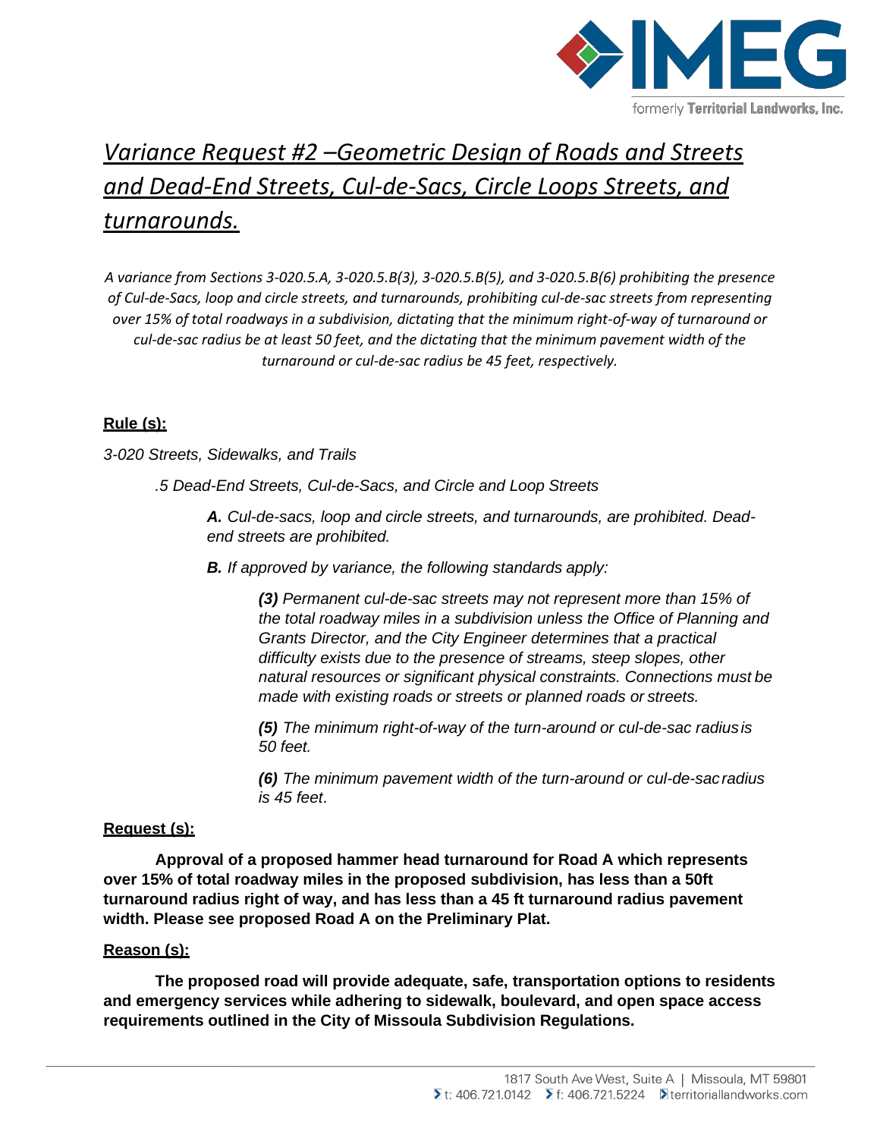

# *Variance Request #2 –Geometric Design of Roads and Streets and Dead-End Streets, Cul-de-Sacs, Circle Loops Streets, and turnarounds.*

*A variance from Sections 3-020.5.A, 3-020.5.B(3), 3-020.5.B(5), and 3-020.5.B(6) prohibiting the presence of Cul-de-Sacs, loop and circle streets, and turnarounds, prohibiting cul-de-sac streets from representing over 15% of total roadways in a subdivision, dictating that the minimum right-of-way of turnaround or cul-de-sac radius be at least 50 feet, and the dictating that the minimum pavement width of the turnaround or cul-de-sac radius be 45 feet, respectively.*

## **Rule (s):**

*3-020 Streets, Sidewalks, and Trails*

*.5 Dead-End Streets, Cul-de-Sacs, and Circle and Loop Streets*

*A. Cul-de-sacs, loop and circle streets, and turnarounds, are prohibited. Deadend streets are prohibited.*

*B. If approved by variance, the following standards apply:*

*(3) Permanent cul-de-sac streets may not represent more than 15% of the total roadway miles in a subdivision unless the Office of Planning and Grants Director, and the City Engineer determines that a practical difficulty exists due to the presence of streams, steep slopes, other natural resources or significant physical constraints. Connections must be made with existing roads or streets or planned roads or streets.*

*(5) The minimum right-of-way of the turn-around or cul-de-sac radiusis 50 feet.*

*(6) The minimum pavement width of the turn-around or cul-de-sacradius is 45 feet*.

## **Request (s):**

**Approval of a proposed hammer head turnaround for Road A which represents over 15% of total roadway miles in the proposed subdivision, has less than a 50ft turnaround radius right of way, and has less than a 45 ft turnaround radius pavement width. Please see proposed Road A on the Preliminary Plat.**

### **Reason (s):**

**The proposed road will provide adequate, safe, transportation options to residents and emergency services while adhering to sidewalk, boulevard, and open space access requirements outlined in the City of Missoula Subdivision Regulations.**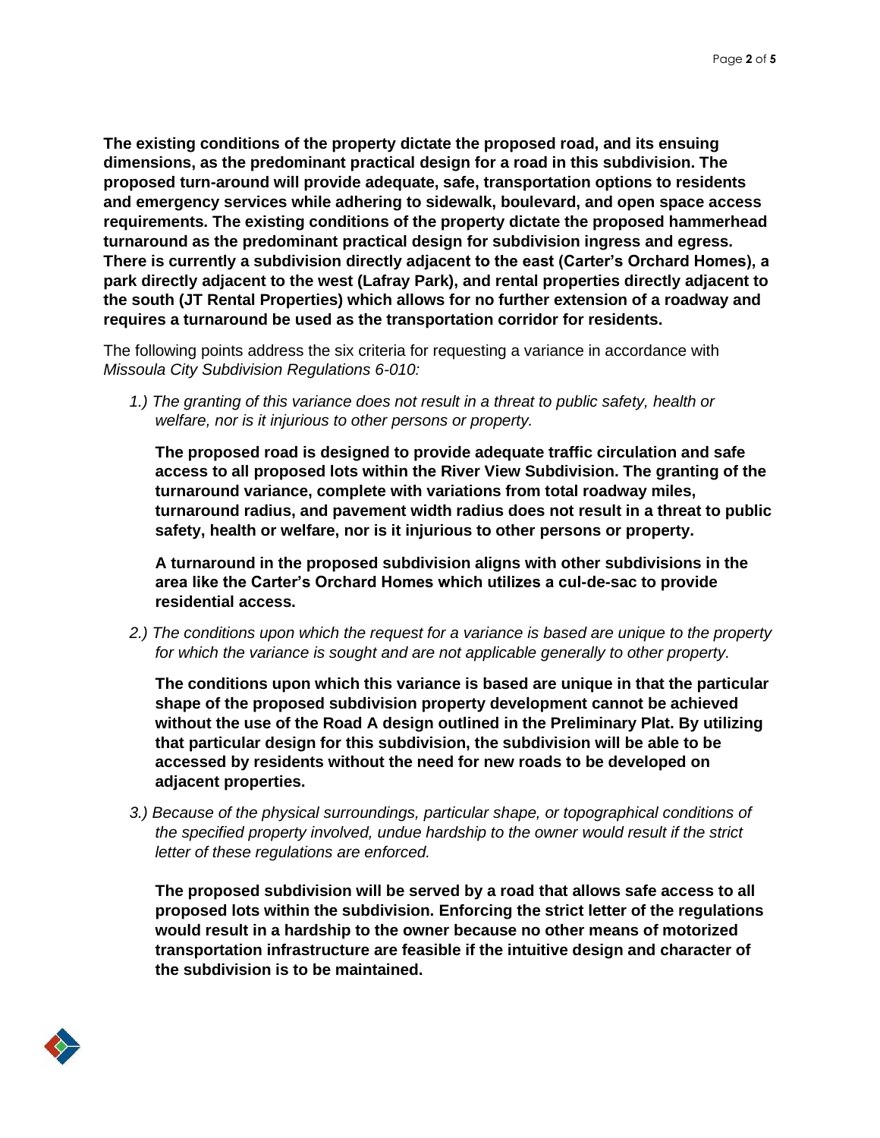**The existing conditions of the property dictate the proposed road, and its ensuing dimensions, as the predominant practical design for a road in this subdivision. The proposed turn-around will provide adequate, safe, transportation options to residents and emergency services while adhering to sidewalk, boulevard, and open space access requirements. The existing conditions of the property dictate the proposed hammerhead turnaround as the predominant practical design for subdivision ingress and egress. There is currently a subdivision directly adjacent to the east (Carter's Orchard Homes), a park directly adjacent to the west (Lafray Park), and rental properties directly adjacent to the south (JT Rental Properties) which allows for no further extension of a roadway and requires a turnaround be used as the transportation corridor for residents.**

The following points address the six criteria for requesting a variance in accordance with *Missoula City Subdivision Regulations 6-010:*

*1.) The granting of this variance does not result in a threat to public safety, health or welfare, nor is it injurious to other persons or property.*

**The proposed road is designed to provide adequate traffic circulation and safe access to all proposed lots within the River View Subdivision. The granting of the turnaround variance, complete with variations from total roadway miles, turnaround radius, and pavement width radius does not result in a threat to public safety, health or welfare, nor is it injurious to other persons or property.**

**A turnaround in the proposed subdivision aligns with other subdivisions in the area like the Carter's Orchard Homes which utilizes a cul-de-sac to provide residential access.**

*2.) The conditions upon which the request for a variance is based are unique to the property for which the variance is sought and are not applicable generally to other property.*

**The conditions upon which this variance is based are unique in that the particular shape of the proposed subdivision property development cannot be achieved without the use of the Road A design outlined in the Preliminary Plat. By utilizing that particular design for this subdivision, the subdivision will be able to be accessed by residents without the need for new roads to be developed on adjacent properties.**

*3.) Because of the physical surroundings, particular shape, or topographical conditions of the specified property involved, undue hardship to the owner would result if the strict letter of these regulations are enforced.*

**The proposed subdivision will be served by a road that allows safe access to all proposed lots within the subdivision. Enforcing the strict letter of the regulations would result in a hardship to the owner because no other means of motorized transportation infrastructure are feasible if the intuitive design and character of the subdivision is to be maintained.**

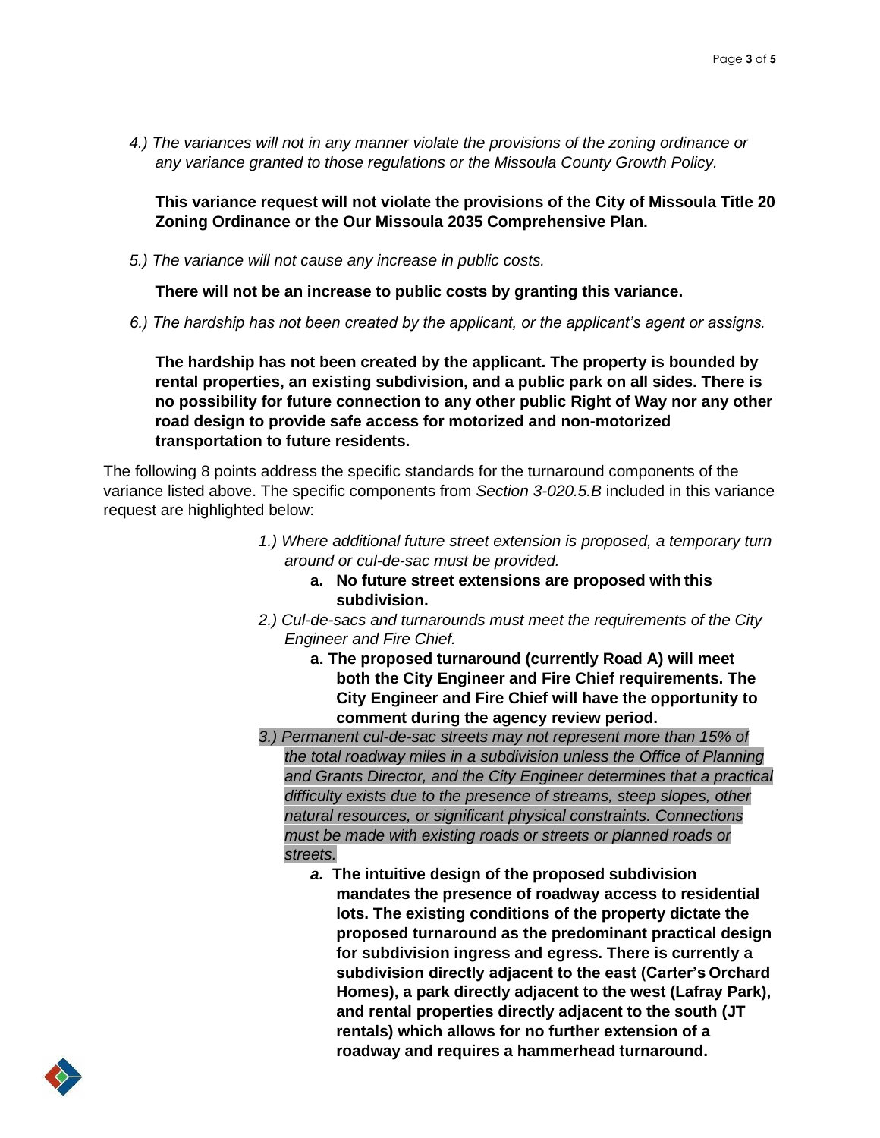*4.) The variances will not in any manner violate the provisions of the zoning ordinance or any variance granted to those regulations or the Missoula County Growth Policy.*

**This variance request will not violate the provisions of the City of Missoula Title 20 Zoning Ordinance or the Our Missoula 2035 Comprehensive Plan.**

*5.) The variance will not cause any increase in public costs.*

**There will not be an increase to public costs by granting this variance.**

*6.) The hardship has not been created by the applicant, or the applicant's agent or assigns.*

**The hardship has not been created by the applicant. The property is bounded by rental properties, an existing subdivision, and a public park on all sides. There is no possibility for future connection to any other public Right of Way nor any other road design to provide safe access for motorized and non-motorized transportation to future residents.**

The following 8 points address the specific standards for the turnaround components of the variance listed above. The specific components from *Section 3-020.5.B* included in this variance request are highlighted below:

- *1.) Where additional future street extension is proposed, a temporary turn around or cul-de-sac must be provided.*
	- **a. No future street extensions are proposed with this subdivision.**
- *2.) Cul-de-sacs and turnarounds must meet the requirements of the City Engineer and Fire Chief.*
	- **a. The proposed turnaround (currently Road A) will meet both the City Engineer and Fire Chief requirements. The City Engineer and Fire Chief will have the opportunity to comment during the agency review period.**
- *3.) Permanent cul-de-sac streets may not represent more than 15% of the total roadway miles in a subdivision unless the Office of Planning and Grants Director, and the City Engineer determines that a practical difficulty exists due to the presence of streams, steep slopes, other natural resources, or significant physical constraints. Connections must be made with existing roads or streets or planned roads or streets.*
	- *a.* **The intuitive design of the proposed subdivision mandates the presence of roadway access to residential lots. The existing conditions of the property dictate the proposed turnaround as the predominant practical design for subdivision ingress and egress. There is currently a subdivision directly adjacent to the east (Carter's Orchard Homes), a park directly adjacent to the west (Lafray Park), and rental properties directly adjacent to the south (JT rentals) which allows for no further extension of a roadway and requires a hammerhead turnaround.**

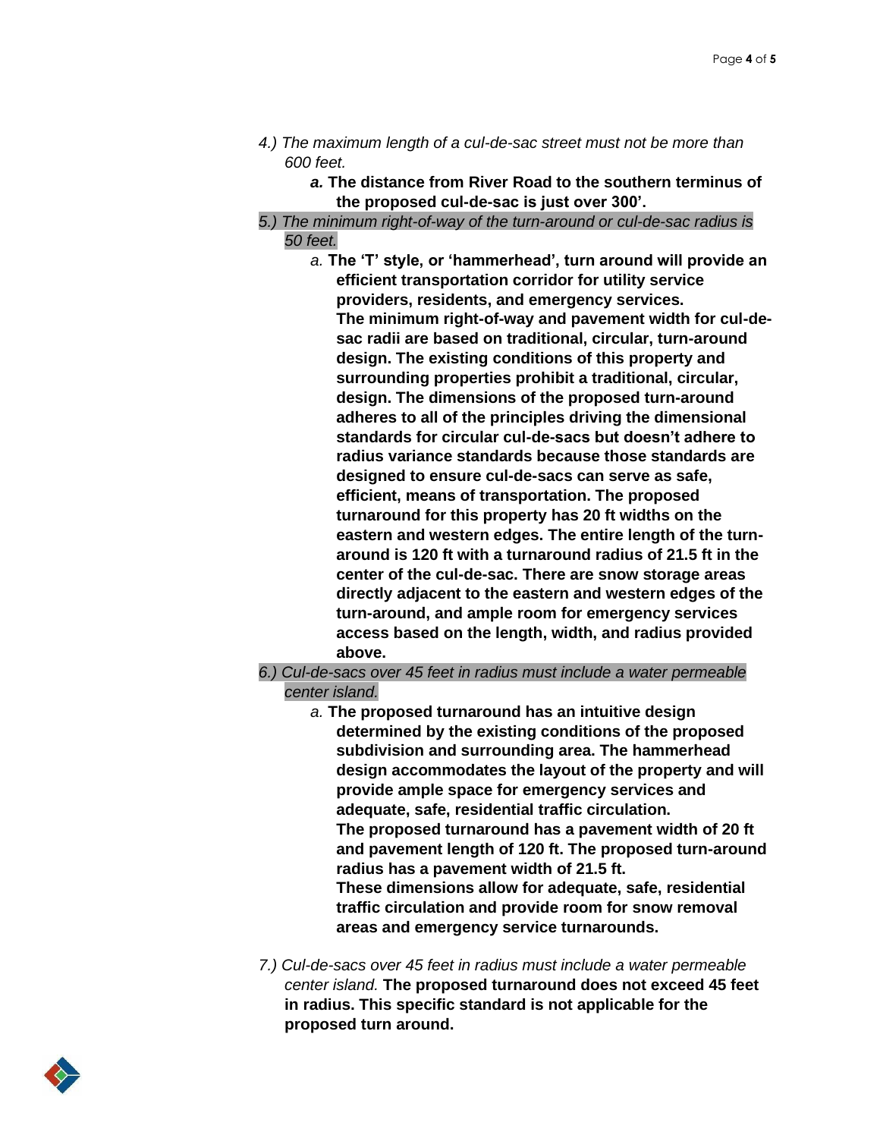- *4.) The maximum length of a cul-de-sac street must not be more than 600 feet.*
	- *a.* **The distance from River Road to the southern terminus of the proposed cul-de-sac is just over 300'.**
- *5.) The minimum right-of-way of the turn-around or cul-de-sac radius is 50 feet.*
	- *a.* **The 'T' style, or 'hammerhead', turn around will provide an efficient transportation corridor for utility service providers, residents, and emergency services. The minimum right-of-way and pavement width for cul-desac radii are based on traditional, circular, turn-around design. The existing conditions of this property and surrounding properties prohibit a traditional, circular, design. The dimensions of the proposed turn-around adheres to all of the principles driving the dimensional standards for circular cul-de-sacs but doesn't adhere to radius variance standards because those standards are designed to ensure cul-de-sacs can serve as safe, efficient, means of transportation. The proposed turnaround for this property has 20 ft widths on the eastern and western edges. The entire length of the turnaround is 120 ft with a turnaround radius of 21.5 ft in the center of the cul-de-sac. There are snow storage areas directly adjacent to the eastern and western edges of the turn-around, and ample room for emergency services access based on the length, width, and radius provided above.**
- *6.) Cul-de-sacs over 45 feet in radius must include a water permeable center island.*
	- *a.* **The proposed turnaround has an intuitive design determined by the existing conditions of the proposed subdivision and surrounding area. The hammerhead design accommodates the layout of the property and will provide ample space for emergency services and adequate, safe, residential traffic circulation. The proposed turnaround has a pavement width of 20 ft and pavement length of 120 ft. The proposed turn-around radius has a pavement width of 21.5 ft. These dimensions allow for adequate, safe, residential traffic circulation and provide room for snow removal areas and emergency service turnarounds.**
- *7.) Cul-de-sacs over 45 feet in radius must include a water permeable center island.* **The proposed turnaround does not exceed 45 feet in radius. This specific standard is not applicable for the proposed turn around.**

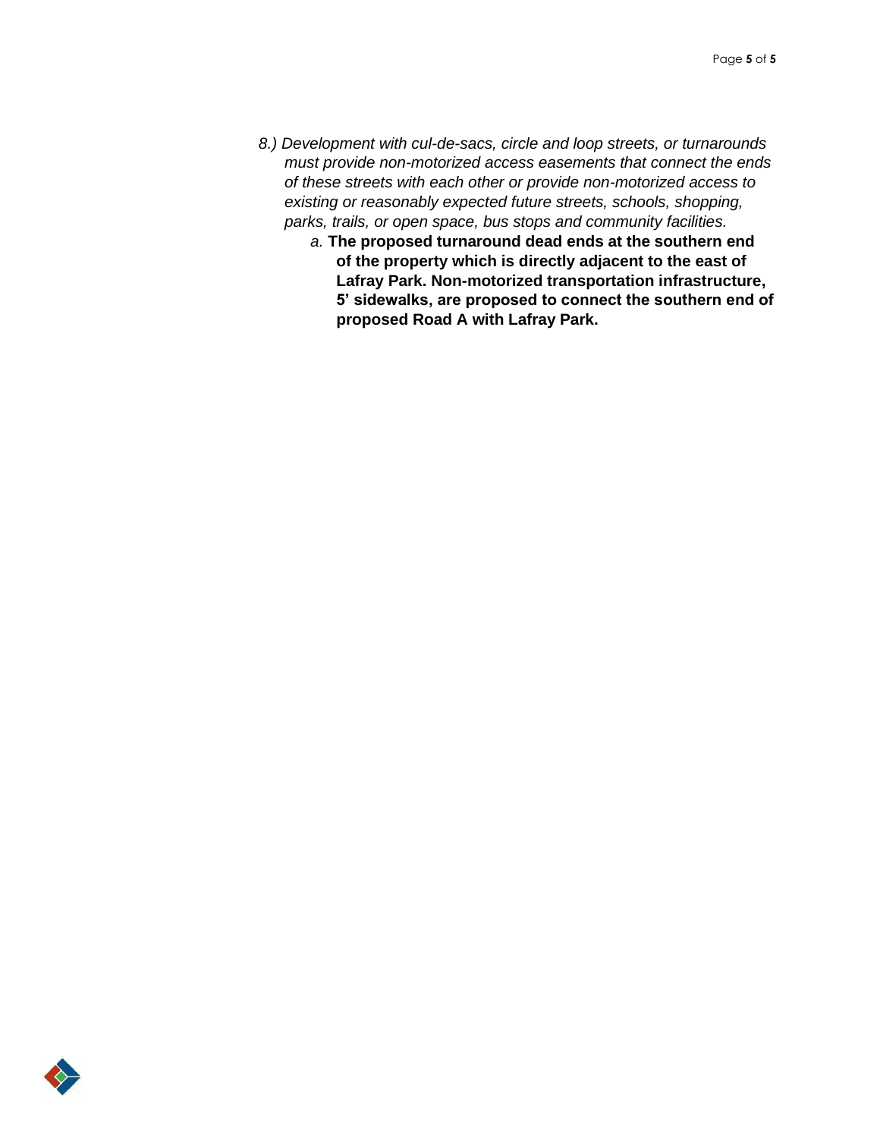- *8.) Development with cul-de-sacs, circle and loop streets, or turnarounds must provide non-motorized access easements that connect the ends of these streets with each other or provide non-motorized access to existing or reasonably expected future streets, schools, shopping, parks, trails, or open space, bus stops and community facilities.*
	- *a.* **The proposed turnaround dead ends at the southern end of the property which is directly adjacent to the east of Lafray Park. Non-motorized transportation infrastructure, 5' sidewalks, are proposed to connect the southern end of proposed Road A with Lafray Park.**

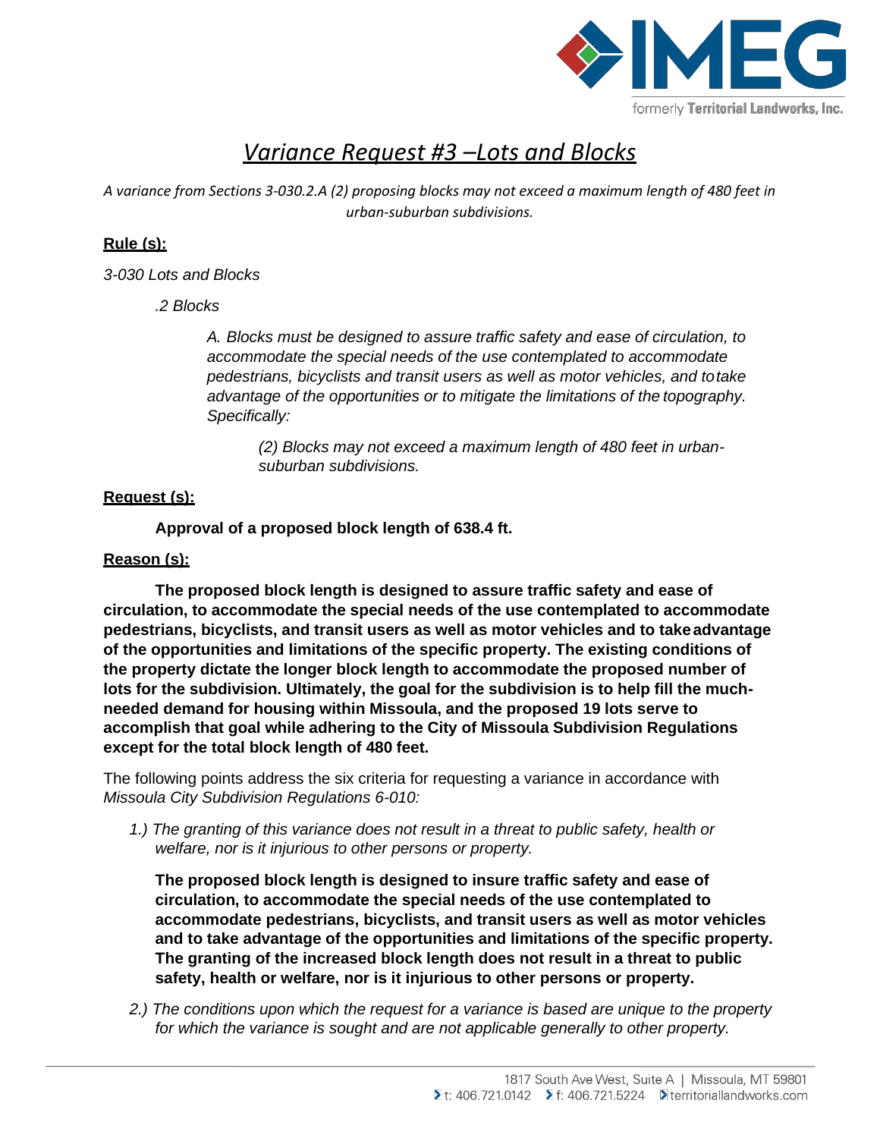

# *Variance Request #3 –Lots and Blocks*

*A variance from Sections 3-030.2.A (2) proposing blocks may not exceed a maximum length of 480 feet in urban-suburban subdivisions.*

# **Rule (s):**

*3-030 Lots and Blocks*

*.2 Blocks*

*A. Blocks must be designed to assure traffic safety and ease of circulation, to accommodate the special needs of the use contemplated to accommodate pedestrians, bicyclists and transit users as well as motor vehicles, and totake advantage of the opportunities or to mitigate the limitations of the topography. Specifically:*

*(2) Blocks may not exceed a maximum length of 480 feet in urbansuburban subdivisions.*

# **Request (s):**

**Approval of a proposed block length of 638.4 ft.**

# **Reason (s):**

**The proposed block length is designed to assure traffic safety and ease of circulation, to accommodate the special needs of the use contemplated to accommodate pedestrians, bicyclists, and transit users as well as motor vehicles and to takeadvantage of the opportunities and limitations of the specific property. The existing conditions of the property dictate the longer block length to accommodate the proposed number of lots for the subdivision. Ultimately, the goal for the subdivision is to help fill the muchneeded demand for housing within Missoula, and the proposed 19 lots serve to accomplish that goal while adhering to the City of Missoula Subdivision Regulations except for the total block length of 480 feet.**

The following points address the six criteria for requesting a variance in accordance with *Missoula City Subdivision Regulations 6-010:*

*1.) The granting of this variance does not result in a threat to public safety, health or welfare, nor is it injurious to other persons or property.*

**The proposed block length is designed to insure traffic safety and ease of circulation, to accommodate the special needs of the use contemplated to accommodate pedestrians, bicyclists, and transit users as well as motor vehicles and to take advantage of the opportunities and limitations of the specific property. The granting of the increased block length does not result in a threat to public safety, health or welfare, nor is it injurious to other persons or property.**

*2.) The conditions upon which the request for a variance is based are unique to the property for which the variance is sought and are not applicable generally to other property.*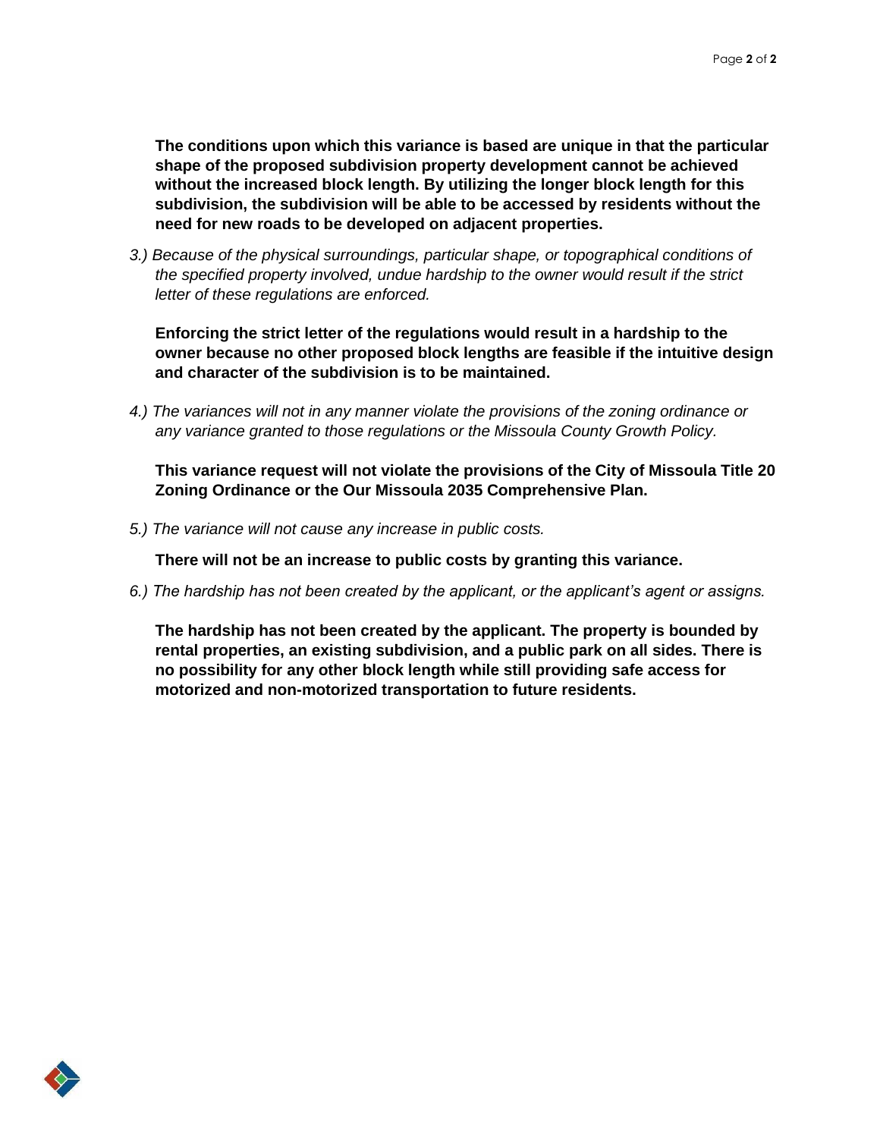**The conditions upon which this variance is based are unique in that the particular shape of the proposed subdivision property development cannot be achieved without the increased block length. By utilizing the longer block length for this subdivision, the subdivision will be able to be accessed by residents without the need for new roads to be developed on adjacent properties.**

*3.) Because of the physical surroundings, particular shape, or topographical conditions of the specified property involved, undue hardship to the owner would result if the strict letter of these regulations are enforced.*

**Enforcing the strict letter of the regulations would result in a hardship to the owner because no other proposed block lengths are feasible if the intuitive design and character of the subdivision is to be maintained.**

*4.) The variances will not in any manner violate the provisions of the zoning ordinance or any variance granted to those regulations or the Missoula County Growth Policy.*

**This variance request will not violate the provisions of the City of Missoula Title 20 Zoning Ordinance or the Our Missoula 2035 Comprehensive Plan.**

*5.) The variance will not cause any increase in public costs.*

**There will not be an increase to public costs by granting this variance.**

*6.) The hardship has not been created by the applicant, or the applicant's agent or assigns.*

**The hardship has not been created by the applicant. The property is bounded by rental properties, an existing subdivision, and a public park on all sides. There is no possibility for any other block length while still providing safe access for motorized and non-motorized transportation to future residents.**

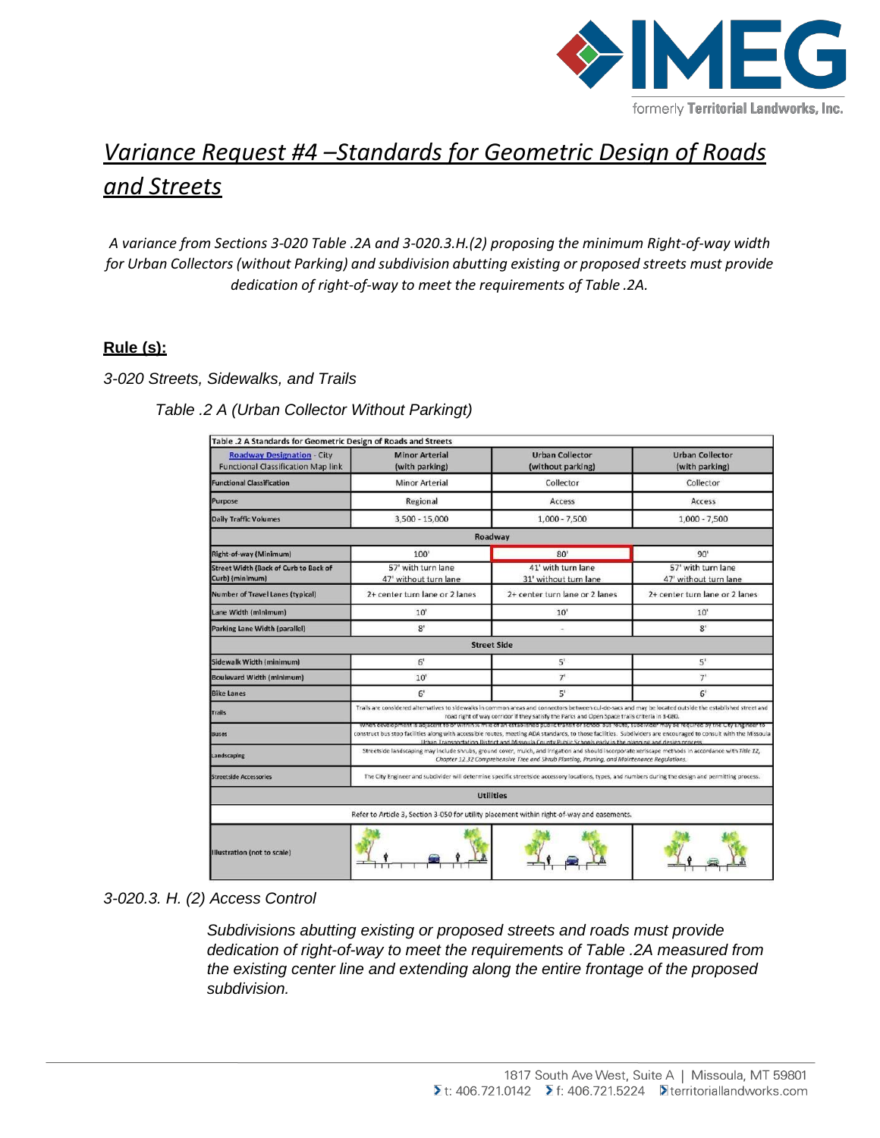

# *Variance Request #4 –Standards for Geometric Design of Roads and Streets*

*A variance from Sections 3-020 Table .2A and 3-020.3.H.(2) proposing the minimum Right-of-way width for Urban Collectors (without Parking) and subdivision abutting existing or proposed streets must provide dedication of right-of-way to meet the requirements of Table .2A.*

## **Rule (s):**

### *3-020 Streets, Sidewalks, and Trails*

## *Table .2 A (Urban Collector Without Parkingt)*

| Table .2 A Standards for Geometric Design of Roads and Streets                             |                                                                                                                                                                                                                                                                                                                                                                                                                                           |                                             |                                             |  |
|--------------------------------------------------------------------------------------------|-------------------------------------------------------------------------------------------------------------------------------------------------------------------------------------------------------------------------------------------------------------------------------------------------------------------------------------------------------------------------------------------------------------------------------------------|---------------------------------------------|---------------------------------------------|--|
| <b>Roadway Designation - City</b><br><b>Functional Classification Map link</b>             | <b>Minor Arterial</b><br>(with parking)                                                                                                                                                                                                                                                                                                                                                                                                   | <b>Urban Collector</b><br>(without parking) | <b>Urban Collector</b><br>(with parking)    |  |
| <b>Functional Classification</b>                                                           | <b>Minor Arterial</b>                                                                                                                                                                                                                                                                                                                                                                                                                     | Collector                                   | Collector                                   |  |
| Purpose                                                                                    | Regional                                                                                                                                                                                                                                                                                                                                                                                                                                  | Access                                      | Access                                      |  |
| <b>Daily Traffic Volumes</b>                                                               | 3,500 - 15,000                                                                                                                                                                                                                                                                                                                                                                                                                            | $1,000 - 7,500$                             | $1,000 - 7,500$                             |  |
|                                                                                            |                                                                                                                                                                                                                                                                                                                                                                                                                                           | Roadway                                     |                                             |  |
| Right-of-way (Minimum)                                                                     | 100'                                                                                                                                                                                                                                                                                                                                                                                                                                      | 80'                                         | 90'                                         |  |
| Street Width (Back of Curb to Back of<br>Curb) (minimum)                                   | 57' with turn lane<br>47' without turn lane                                                                                                                                                                                                                                                                                                                                                                                               | 41' with turn lane<br>31' without turn lane | 57' with turn lane<br>47' without turn lane |  |
| Number of Travel Lanes (typical)                                                           | 2+ center turn lane or 2 lanes                                                                                                                                                                                                                                                                                                                                                                                                            | 2+ center turn lane or 2 lanes              | 2+ center turn lane or 2 lanes              |  |
| Lane Width (minimum)                                                                       | 10'                                                                                                                                                                                                                                                                                                                                                                                                                                       | 10'                                         | 10'                                         |  |
| Parking Lane Width (parallel)                                                              | 8'                                                                                                                                                                                                                                                                                                                                                                                                                                        |                                             | 8'                                          |  |
|                                                                                            | <b>Street Side</b>                                                                                                                                                                                                                                                                                                                                                                                                                        |                                             |                                             |  |
| Sidewalk Width (minimum)                                                                   | 6 <sup>1</sup>                                                                                                                                                                                                                                                                                                                                                                                                                            | 5'                                          | 5'                                          |  |
| <b>Boulevard Width (minimum)</b>                                                           | 10'                                                                                                                                                                                                                                                                                                                                                                                                                                       | 7'                                          | 7 <sup>1</sup>                              |  |
| <b>Bike Lanes</b>                                                                          | 6 <sup>t</sup>                                                                                                                                                                                                                                                                                                                                                                                                                            | 5'                                          | 6'                                          |  |
| Trails                                                                                     | Trails are considered alternatives to sidewalks in common areas and connectors between cul-de-sacs and may be located outside the established street and<br>road right of way corridor if they satisfy the Parks and Open Space trails criteria in 3-080.                                                                                                                                                                                 |                                             |                                             |  |
| <b>Buses</b>                                                                               | when development is adjacent to or within % mile or an established public transit or school bus route, subdivider may be required by the City Engineer to<br>construct bus stop facilities along with accessible routes, meeting ADA standards, to those facilities. Subdividers are encouraged to consult with the Missoula<br>Urban Transportation District and Missoula County Public Schools early in the planning and design process |                                             |                                             |  |
| Landscaping                                                                                | Streetside landscaping may include shrubs, ground cover, mulch, and irrigation and should incorporate xeriscape methods in accordance with Title 12,<br>Chapter 12.32 Comprehensive Tree and Shrub Planting, Pruning, and Maintenance Regulations.                                                                                                                                                                                        |                                             |                                             |  |
| <b>Streetside Accessories</b>                                                              | The City Engineer and subdivider will determine specific streetside accessory locations, types, and numbers during the design and permitting process.                                                                                                                                                                                                                                                                                     |                                             |                                             |  |
|                                                                                            |                                                                                                                                                                                                                                                                                                                                                                                                                                           | <b>Utilities</b>                            |                                             |  |
| Refer to Article 3, Section 3-050 for utility placement within right-of-way and easements. |                                                                                                                                                                                                                                                                                                                                                                                                                                           |                                             |                                             |  |
| Illustration (not to scale)                                                                |                                                                                                                                                                                                                                                                                                                                                                                                                                           |                                             |                                             |  |

### *3-020.3. H. (2) Access Control*

*Subdivisions abutting existing or proposed streets and roads must provide dedication of right-of-way to meet the requirements of Table .2A measured from the existing center line and extending along the entire frontage of the proposed subdivision.*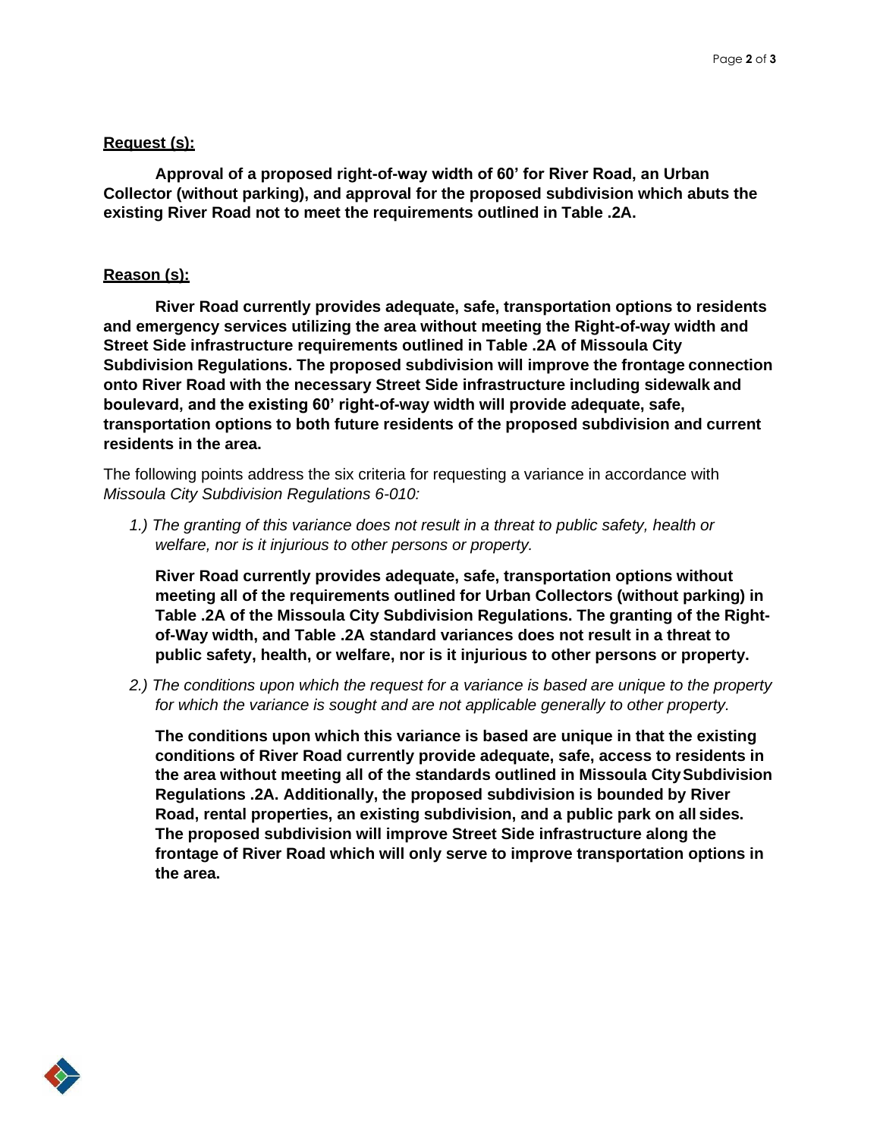### **Request (s):**

**Approval of a proposed right-of-way width of 60' for River Road, an Urban Collector (without parking), and approval for the proposed subdivision which abuts the existing River Road not to meet the requirements outlined in Table .2A.**

#### **Reason (s):**

**River Road currently provides adequate, safe, transportation options to residents and emergency services utilizing the area without meeting the Right-of-way width and Street Side infrastructure requirements outlined in Table .2A of Missoula City Subdivision Regulations. The proposed subdivision will improve the frontage connection onto River Road with the necessary Street Side infrastructure including sidewalk and boulevard, and the existing 60' right-of-way width will provide adequate, safe, transportation options to both future residents of the proposed subdivision and current residents in the area.**

The following points address the six criteria for requesting a variance in accordance with *Missoula City Subdivision Regulations 6-010:*

*1.) The granting of this variance does not result in a threat to public safety, health or welfare, nor is it injurious to other persons or property.*

**River Road currently provides adequate, safe, transportation options without meeting all of the requirements outlined for Urban Collectors (without parking) in Table .2A of the Missoula City Subdivision Regulations. The granting of the Rightof-Way width, and Table .2A standard variances does not result in a threat to public safety, health, or welfare, nor is it injurious to other persons or property.**

*2.) The conditions upon which the request for a variance is based are unique to the property for which the variance is sought and are not applicable generally to other property.*

**The conditions upon which this variance is based are unique in that the existing conditions of River Road currently provide adequate, safe, access to residents in the area without meeting all of the standards outlined in Missoula CitySubdivision Regulations .2A. Additionally, the proposed subdivision is bounded by River Road, rental properties, an existing subdivision, and a public park on all sides. The proposed subdivision will improve Street Side infrastructure along the frontage of River Road which will only serve to improve transportation options in the area.**